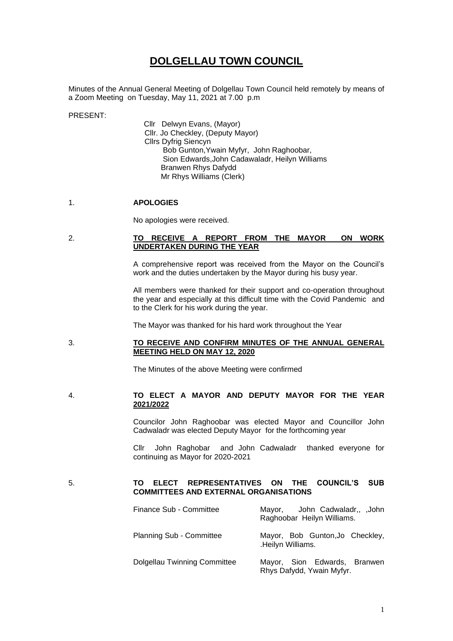# **DOLGELLAU TOWN COUNCIL**

Minutes of the Annual General Meeting of Dolgellau Town Council held remotely by means of a Zoom Meeting on Tuesday, May 11, 2021 at 7.00 p.m

PRESENT:

Cllr Delwyn Evans, (Mayor) Cllr. Jo Checkley, (Deputy Mayor) Cllrs Dyfrig Siencyn Bob Gunton,Ywain Myfyr, John Raghoobar, Sion Edwards,John Cadawaladr, Heilyn Williams Branwen Rhys Dafydd Mr Rhys Williams (Clerk)

#### 1. **APOLOGIES**

No apologies were received.

## 2. **TO RECEIVE A REPORT FROM THE MAYOR ON WORK UNDERTAKEN DURING THE YEAR**

A comprehensive report was received from the Mayor on the Council's work and the duties undertaken by the Mayor during his busy year.

All members were thanked for their support and co-operation throughout the year and especially at this difficult time with the Covid Pandemic and to the Clerk for his work during the year.

The Mayor was thanked for his hard work throughout the Year

## 3. **TO RECEIVE AND CONFIRM MINUTES OF THE ANNUAL GENERAL MEETING HELD ON MAY 12, 2020**

The Minutes of the above Meeting were confirmed

## 4. **TO ELECT A MAYOR AND DEPUTY MAYOR FOR THE YEAR 2021/2022**

Councilor John Raghoobar was elected Mayor and Councillor John Cadwaladr was elected Deputy Mayor for the forthcoming year

Cllr John Raghobar and John Cadwaladr thanked everyone for continuing as Mayor for 2020-2021

#### 5. **TO ELECT REPRESENTATIVES ON THE COUNCIL'S SUB COMMITTEES AND EXTERNAL ORGANISATIONS**

| Finance Sub - Committee             | Mayor, John Cadwaladr,, John<br>Raghoobar Heilyn Williams. |
|-------------------------------------|------------------------------------------------------------|
| <b>Planning Sub - Committee</b>     | Mayor, Bob Gunton, Jo Checkley,<br>.Heilyn Williams.       |
| <b>Dolgellau Twinning Committee</b> | Mayor, Sion Edwards, Branwen<br>Rhys Dafydd, Ywain Myfyr.  |